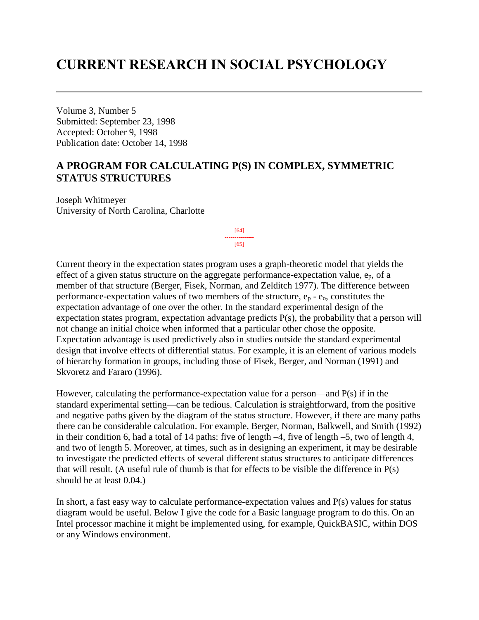# **CURRENT RESEARCH IN SOCIAL PSYCHOLOGY**

Volume 3, Number 5 Submitted: September 23, 1998 Accepted: October 9, 1998 Publication date: October 14, 1998

# **A PROGRAM FOR CALCULATING P(S) IN COMPLEX, SYMMETRIC STATUS STRUCTURES**

Joseph Whitmeyer University of North Carolina, Charlotte

> [64] --------------- [65]

Current theory in the expectation states program uses a graph-theoretic model that yields the effect of a given status structure on the aggregate performance-expectation value, ep, of a member of that structure (Berger, Fisek, Norman, and Zelditch 1977). The difference between performance-expectation values of two members of the structure,  $e_p - e_o$ , constitutes the expectation advantage of one over the other. In the standard experimental design of the expectation states program, expectation advantage predicts P(s), the probability that a person will not change an initial choice when informed that a particular other chose the opposite. Expectation advantage is used predictively also in studies outside the standard experimental design that involve effects of differential status. For example, it is an element of various models of hierarchy formation in groups, including those of Fisek, Berger, and Norman (1991) and Skvoretz and Fararo (1996).

However, calculating the performance-expectation value for a person—and P(s) if in the standard experimental setting—can be tedious. Calculation is straightforward, from the positive and negative paths given by the diagram of the status structure. However, if there are many paths there can be considerable calculation. For example, Berger, Norman, Balkwell, and Smith (1992) in their condition 6, had a total of 14 paths: five of length –4, five of length –5, two of length 4, and two of length 5. Moreover, at times, such as in designing an experiment, it may be desirable to investigate the predicted effects of several different status structures to anticipate differences that will result. (A useful rule of thumb is that for effects to be visible the difference in P(s) should be at least 0.04.)

In short, a fast easy way to calculate performance-expectation values and  $P(s)$  values for status diagram would be useful. Below I give the code for a Basic language program to do this. On an Intel processor machine it might be implemented using, for example, QuickBASIC, within DOS or any Windows environment.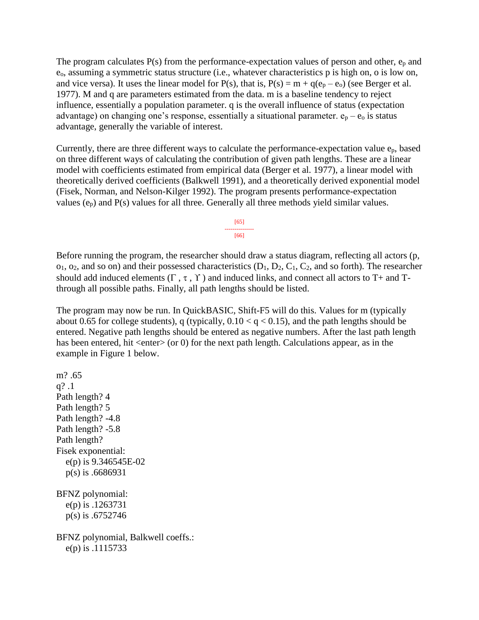The program calculates  $P(s)$  from the performance-expectation values of person and other,  $e_p$  and eo, assuming a symmetric status structure (i.e., whatever characteristics p is high on, o is low on, and vice versa). It uses the linear model for  $P(s)$ , that is,  $P(s) = m + q(e_p - e_o)$  (see Berger et al. 1977). M and q are parameters estimated from the data. m is a baseline tendency to reject influence, essentially a population parameter. q is the overall influence of status (expectation advantage) on changing one's response, essentially a situational parameter.  $e_p - e_o$  is status advantage, generally the variable of interest.

Currently, there are three different ways to calculate the performance-expectation value ep, based on three different ways of calculating the contribution of given path lengths. These are a linear model with coefficients estimated from empirical data (Berger et al. 1977), a linear model with theoretically derived coefficients (Balkwell 1991), and a theoretically derived exponential model (Fisek, Norman, and Nelson-Kilger 1992). The program presents performance-expectation values  $(e_p)$  and  $P(s)$  values for all three. Generally all three methods yield similar values.

> [65] --------------- [66]

Before running the program, the researcher should draw a status diagram, reflecting all actors (p,  $o_1$ ,  $o_2$ , and so on) and their possessed characteristics  $(D_1, D_2, C_1, C_2,$  and so forth). The researcher should add induced elements  $(\Gamma, \tau, \Upsilon)$  and induced links, and connect all actors to T+ and Tthrough all possible paths. Finally, all path lengths should be listed.

The program may now be run. In QuickBASIC, Shift-F5 will do this. Values for m (typically about 0.65 for college students), q (typically,  $0.10 < q < 0.15$ ), and the path lengths should be entered. Negative path lengths should be entered as negative numbers. After the last path length has been entered, hit  $\langle$ enter $\rangle$  (or 0) for the next path length. Calculations appear, as in the example in Figure 1 below.

m? .65 q? .1 Path length? 4 Path length? 5 Path length? -4.8 Path length? -5.8 Path length? Fisek exponential: e(p) is 9.346545E-02 p(s) is .6686931 BFNZ polynomial: e(p) is .1263731 p(s) is .6752746 BFNZ polynomial, Balkwell coeffs.: e(p) is .1115733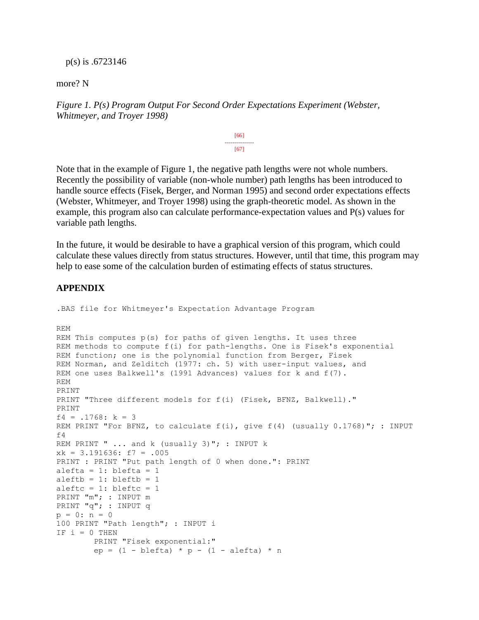#### p(s) is .6723146

more? N

*Figure 1. P(s) Program Output For Second Order Expectations Experiment (Webster, Whitmeyer, and Troyer 1998)*

> [66] --------------- [67]

Note that in the example of Figure 1, the negative path lengths were not whole numbers. Recently the possibility of variable (non-whole number) path lengths has been introduced to handle source effects (Fisek, Berger, and Norman 1995) and second order expectations effects (Webster, Whitmeyer, and Troyer 1998) using the graph-theoretic model. As shown in the example, this program also can calculate performance-expectation values and P(s) values for variable path lengths.

In the future, it would be desirable to have a graphical version of this program, which could calculate these values directly from status structures. However, until that time, this program may help to ease some of the calculation burden of estimating effects of status structures.

### **APPENDIX**

```
.BAS file for Whitmeyer's Expectation Advantage Program
REM
REM This computes p(s) for paths of given lengths. It uses three
REM methods to compute f(i) for path-lengths. One is Fisek's exponential
REM function; one is the polynomial function from Berger, Fisek
REM Norman, and Zelditch (1977: ch. 5) with user-input values, and
REM one uses Balkwell's (1991 Advances) values for k and f(7).
REM
PRINT
PRINT "Three different models for f(i) (Fisek, BFNZ, Balkwell)."
PRINT
f4 = .1768: k = 3REM PRINT "For BFNZ, to calculate f(i), give f(4) (usually 0.1768)"; : INPUT
f4
REM PRINT " ... and k (usually 3)"; : INPUT k
xk = 3.191636: f7 = .005
PRINT : PRINT "Put path length of 0 when done.": PRINT
alefta = 1: blefta = 1aleftb = 1: bleftb = 1aleftc = 1: bleftc = 1PRINT "m"; : INPUT m
PRINT "q"; : INPUT q
p = 0: n = 0100 PRINT "Path length"; : INPUT i
IF i = 0 THEN
         PRINT "Fisek exponential:"
        ep = (1 - blefta) * p - (1 - alefta) * n
```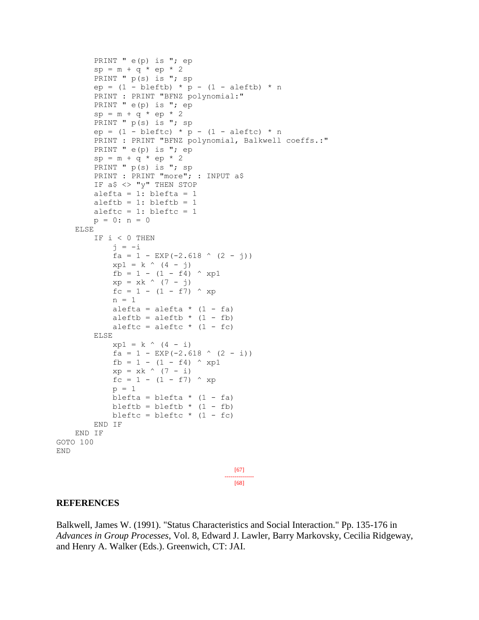```
PRINT " e(p) is "; ep
        sp = m + q * ep * 2PRINT " p(s) is "; sp
        ep = (1 - \text{bleftb}) * p - (1 - \text{aleftb}) * n PRINT : PRINT "BFNZ polynomial:"
         PRINT " e(p) is "; ep
        sp = m + q * ep * 2PRINT " p(s) is "; sp
        ep = (1 - bleftc) * p - (1 - aleftc) * n PRINT : PRINT "BFNZ polynomial, Balkwell coeffs.:"
        PRINT " e(p) is "; ep
        sp = m + q * ep * 2PRINT " p(s) is "; sp
        PRINT : PRINT "more"; : INPUT a$
        IF a$ <> "y" THEN STOP
        alefta = 1: blefta = 1aleftb = 1: bleftb = 1aleftc = 1: bleftc = 1p = 0: n = 0 ELSE
         IF i < 0 THEN
             j = -ifa = 1 - EXP(-2.618 \land (2 - j))xp1 = k \land (4 - j)fb = 1 - (1 - f4) \wedge xp1
            xp = xk (7 - j)
            fc = 1 - (1 - f7) \wedge xp
            n = 1alefta = alefta * (1 - fa)aleftb = aleftb * (1 - fb)
            aleftc = aleftc * (1 - fc)
         ELSE
            xp1 = k \land (4 - i)fa = 1 - EXP(-2.618 (2 - i))
            fb = 1 - (1 - f4) \wedge xp1
            xp = xk \land (7 - i)fc = 1 - (1 - f7) \wedge xp
            p = 1blefta = blefta * (1 - fa)bleftb = bleftb * (1 - fb)
            bleftc = bleftc * (1 - fc)
         END IF
     END IF
GOTO 100
END
                                         [67]
                                       ---------------
                                         [68]
```
#### **REFERENCES**

Balkwell, James W. (1991). "Status Characteristics and Social Interaction." Pp. 135-176 in *Advances in Group Processes*, Vol. 8, Edward J. Lawler, Barry Markovsky, Cecilia Ridgeway, and Henry A. Walker (Eds.). Greenwich, CT: JAI.